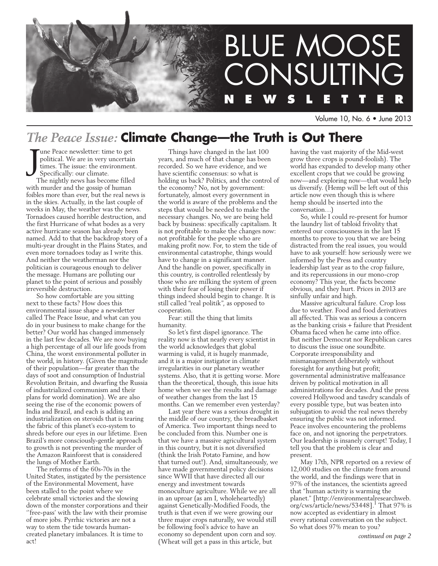

Volume 10, No. 6 • June 2013

### *The Peace Issue:* **Climate Change—the Truth is Out There**

J une Peace newsletter: time to get political. We are in very uncertain times. The issue: the environment. Specifically: our climate.

The nightly news has become filled with murder and the gossip of human foibles more than ever, but the real news is in the skies. Actually, in the last couple of weeks in May, the weather was the news. Tornadoes caused horrible destruction, and the first Hurricane of what bodes as a very active hurricane season has already been named. Add to that the backdrop story of a multi-year drought in the Plains States, and even more tornadoes today as I write this. And neither the weatherman nor the politician is courageous enough to deliver the message. Humans are polluting our planet to the point of serious and possibly irreversible destruction.

So how comfortable are you sitting next to these facts? How does this environmental issue shape a newsletter called The Peace Issue, and what can you do in your business to make change for the better? Our world has changed immensely in the last few decades. We are now buying a high percentage of all our life goods from China, the worst environmental polluter in the world, in history. (Given the magnitude of their population—far greater than the days of soot and consumption of Industrial Revolution Britain, and dwarfing the Russia of industrialized communism and their plans for world domination). We are also seeing the rise of the economic powers of India and Brazil, and each is adding an industrialization on steroids that is tearing the fabric of this planet's eco-system to shreds before our eyes in our lifetime. Even Brazil's more consciously-gentle approach to growth is not preventing the murder of the Amazon Rainforest that is considered the lungs of Mother Earth.

The reforms of the 60s-70s in the United States, instigated by the persistence of the Environmental Movement, have been stalled to the point where we celebrate small victories and the slowing down of the monster corporations and their ''free-pass' with the law with their promise of more jobs. Pyrrhic victories are not a way to stem the tide towards humancreated planetary imbalances. It is time to act!

Things have changed in the last 100 years, and much of that change has been recorded. So we have evidence, and we have scientific consensus: so what is holding us back? Politics, and the control of the economy? No, not by government: fortunately, almost every government in the world is aware of the problems and the steps that would be needed to make the necessary changes. No, we are being held back by business: specifically capitalism. It is not profitable to make the changes now: not profitable for the people who are making profit now. For, to stem the tide of environmental catastrophe, things would have to change in a significant manner. And the handle on power, specifically in this country, is controlled relentlessly by those who are milking the system of green with their fear of losing their power if things indeed should begin to change. It is still called "real politik", as opposed to cooperation.

Fear: still the thing that limits humanity.

So let's first dispel ignorance. The reality now is that nearly every scientist in the world acknowledges that global warming is valid, it is hugely manmade, and it is a major instigator in climate irregularities in our planetary weather systems. Also, that it is getting worse. More than the theoretical, though, this issue hits home when we see the results and damage of weather changes from the last 15 months. Can we remember even yesterday?

Last year there was a serious drought in the middle of our country, the breadbasket of America. Two important things need to be concluded from this. Number one is that we have a massive agricultural system in this country, but it is not diversified (think the Irish Potato Famine, and how that turned out!). And, simultaneously, we have made governmental policy decisions since WWII that have directed all our energy and investment towards monoculture agriculture. While we are all in an uproar (as am I, wholeheartedly) against Genetically-Modified Foods, the truth is that even if we were growing our three major crops naturally, we would still be following fool's advice to have an economy so dependent upon corn and soy. (Wheat will get a pass in this article, but

having the vast majority of the Mid-west grow three crops is pound-foolish). The world has expanded to develop many other excellent crops that we could be growing now—and exploring now—that would help us diversify. (Hemp will be left out of this article now even though this is where hemp should be inserted into the conversation…)

So, while I could re-present for humor the laundry list of tabloid frivolity that entered our consciousness in the last 15 months to prove to you that we are being distracted from the real issues, you would have to ask yourself: how seriously were we informed by the Press and country leadership last year as to the crop failure, and its repercussions in our mono-crop economy? This year, the facts become obvious, and they hurt. Prices in 2013 are sinfully unfair and high.

Massive agricultural failure. Crop loss due to weather. Food and food derivatives all affected. This was as serious a concern as the banking crisis + failure that President Obama faced when he came into office. But neither Democrat nor Republican cares to discuss the issue one soundbite. Corporate irresponsibility and mismanagement deliberately without foresight for anything but profit; governmental administrative malfeasance driven by political motivation in all administrations for decades. And the press covered Hollywood and tawdry scandals of every possible type, but was beaten into subjugation to avoid the real news thereby ensuring the public was not informed. Peace involves encountering the problems face on, and not ignoring the perpetrators. Our leadership is insanely corrupt! Today, I tell you that the problem is clear and present.

May 17th, NPR reported on a review of 12,000 studies on the climate from around the world, and the findings were that in 97% of the instances, the scientists agreed that "human activity is warming the planet." [http://environmentalresearchweb. org/cws/article/news/53448].<sup>1</sup> That 97% is now accepted as evidentiary in almost every rational conversation on the subject. So what does 97% mean to you?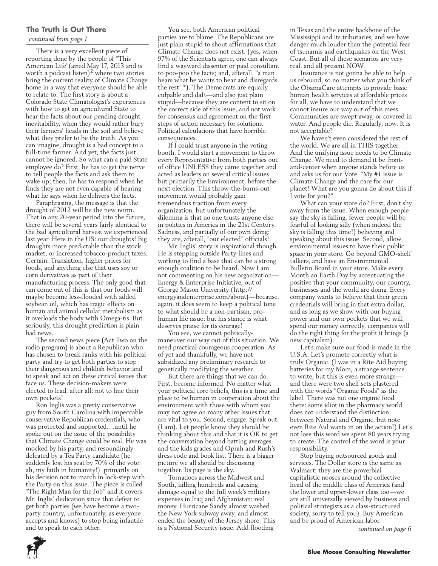### **The Truth is Out There**

### *continued from page 1*

There is a very excellent piece of reporting done by the people of "This American Life"(aired May 17, 2013 and is worth a podcast listen)<sup>2</sup> where two stories bring the current reality of Climate Change home in a way that everyone should be able to relate to. The first story is about a Colorado State Climatologist's experiences with how to get an agricultural State to hear the facts about our pending drought inevitability, when they would rather bury their farmers' heads in the soil and believe what they prefer to be the truth. As you can imagine, drought is a bad concept to a full-time farmer. And yet, the facts just cannot be ignored. So what can a paid State employee do? First, he has to get the nerve to tell people the facts and ask them to wake up; then, he has to respond when he finds they are not even capable of hearing what he says when he delivers the facts.

Paraphrasing, the message is that the drought of 2012 will be the new norm. That in any 20-year period into the future, there will be several years fairly identical to the bad agricultural harvest we experienced last year. Here in the US: our droughts! Big droughts more predictable than the stock market, or increased tobacco-product taxes. Certain. Translation: higher prices for foods, and anything else that uses soy or corn derivatives as part of their manufacturing process. The only good that can come out of this is that our foods will maybe become less-flooded with added soybean oil, which has tragic effects on human and animal cellular metabolism as it overloads the body with Omega-6s. But seriously, this drought prediction is plain bad news.

The second news piece (Act Two on the radio program) is about a Republican who has chosen to break ranks with his political party and try to get both parties to stop their dangerous and childish behavior and to speak and act on these critical issues that face us. These decision-makers were elected to lead, after all: not to line their own pockets!

Ron Inglis was a pretty conservative guy from South Carolina with impeccable conservative Republican credentials, who was protected and supported….until he spoke out on the issue of the possibility that Climate Change could be real. He was mocked by his party, and resoundingly defeated by a Tea Party candidate (he suddenly lost his seat by 70% of the vote: ah, my faith in humanity!) primarily on his decision not to march in lock-step with the Party on this issue. The piece is called "The Right Man for the Job" and it covers Mr. Inglis' dedication since that defeat to get both parties (we have become a twoparty country, unfortunately, as everyone accepts and knows) to stop being infantile and to speak to each other.

You see, both American political parties are to blame. The Republicans are just plain stupid to shout affirmations that Climate Change does not exist. (yes, when 97% of the Scientists agree, one can always find a wayward dissenter or paid consultant to poo-poo the facts; and, afterall "a man hears what he wants to hear and disregards the rest" \*). The Democrats are equally culpable and daft—and also just plain stupid—because they are content to sit on the correct side of this issue, and not work for consensus and agreement on the first steps of action necessary for solutions. Political calculations that have horrible consequences.

If  $\overline{I}$  could trust anyone in the voting booth, I would start a movement to throw every Representative from both parties out of office UNLESS they came together and acted as leaders on several critical issues but primarily the Environment, before the next election. This throw-the-bums-out movement would probably gain tremendous traction from every organization, but unfortunately the dilemma is that no one trusts anyone else in politics in America in the 21st Century. Sadness, and partially of our own doing: they are, afterall, "our elected" officials!

Mr. Inglis' story is inspirational though. He is stepping outside Party-lines and working to find a base that can be a strong enough coalition to be heard. Now I am not commenting on his new organization— Energy & Enterprise Initiative, out of George Mason University (http:// energyandenterprise.com/about)—because, again, it does seem to keep a political tone to what should be a non-partisan, prohuman life issue: but his stance is what deserves praise for its courage!

You see, we cannot politicallymaneuver our way out of this situation. We need practical courageous cooperation. As of yet and thankfully, we have not subsidized any preliminary research to genetically modifying the weather.

But there are things that we can do. First, become informed. No matter what your political core beliefs, this is a time and place to be human in cooperation about the environment with those with whom you may not agree on many other issues that are vital to you. Second, engage. Speak out. (I am). Let people know they should be thinking about this and that it is OK to get the conversation beyond batting averages and the kids grades and Oprah and Rush's dress code and book list. There is a bigger picture we all should be discussing together. Its page is the sky.

Tornadoes across the Midwest and South, killing hundreds and causing damage equal to the full week's military expenses in Iraq and Afghanistan: real money. Hurricane Sandy almost washed the New York subway away, and almost ended the beauty of the Jersey shore. This is a National Security issue. Add flooding

in Texas and the entire backbone of the Mississippi and its tributaries, and we have danger much louder than the potential fear of tsunamis and earthquakes on the West Coast. But all of these scenarios are very real, and all present NOW.

Insurance is not gonna be able to help us rebound, so no matter what you think of the ObamaCare attempts to provide basic human health services at affordable prices for all, we have to understand that we cannot insure our way out of this mess. Communities are swept away, or covered in water. And people die. Regularly; now. It is not acceptable!

We haven't even considered the rest of the world. We are all in THIS together. And the unifying issue needs to be Climate Change. We need to demand it be frontand-center when anyone stands before us and asks us for our Vote. "My #1 issue is Climate Change and the care for our planet! What are you gonna do about this if I vote for you?"

What can your store do? First, don't shy away from the issue. When enough people say the sky is falling, fewer people will be fearful of looking silly (when indeed the sky is falling this time!) believing and speaking about this issue. Second, allow environmental issues to have their public space in your store. Go beyond GMO-shelf talkers, and have an Environmental Bulletin Board in your store. Make every Month an Earth Day by accentuating the positive that your community, our country, businesses and the world are doing. Every company wants to believe that their green credentials will bring in that extra dollar, and as long as we show with our buying power and our own pockets that we will spend our money correctly, companies will do the right thing for the profit it brings (a new capitalsm).

Let's make sure our food is made in the U.S.A. Let's promote correctly what is truly Organic. (I was in a Rite Aid buying batteries for my Mom, a strange sentence to write, but this is even more strange and there were two shelf sets plastered with the words "Organic Foods" as the label. There was not one organic food there: some idiot in the pharmacy world does not understand the distinction between Natural and Organic, but note even Rite Aid wants in on the action!) Let's not lose this word we spent 80 years trying to create. The control of the word is your responsibility.

Stop buying outsourced goods and services. The Dollar store is the same as Walmart: they are the proverbial capitalistic nooses around the collective head of the middle class of America (and the lower and upper-lower class too—we are still universally viewed by business and political strategists as a class-structured society, sorry to tell you). Buy American and be proud of American labor.

*continued on page 6*

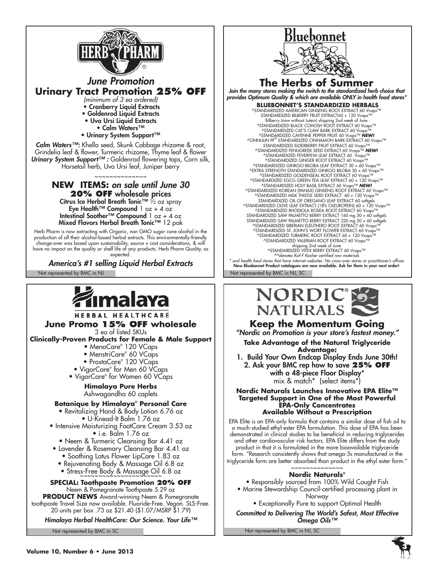

Eye Health™ Compound  $1 oz + 4 oz$ Intestinal Soother™ Compound 1 oz + 4 oz Mixed Flavors Herbal Breath Tonic™ 12 pak

Herb Pharm is now extracting with Organic, non GMO sugar cane alcohol in the production of all their alcohol-based herbal extracts. This environmentally-friendly change-over was based upon sustainability, source + cost considerations, & will have no impact on the quality or shelf life of any products. Herb Pharm Quality, as expected.

*America's #1 selling Liquid Herbal Extracts* 

Not represented by BMC in NJ Not represented by BMC in NJ, SC

**HERBAL HEALTHCARE June Promo 15% OFF wholesale**  3 ea of listed SKUs **Clinically-Proven Products for Female & Male Support**

- MenoCare® 120 VCaps
	- MenstriCare® 60 VCaps
	- ProstaCare® 120 VCaps
- VigorCare® for Men 60 VCaps
- VigorCare® for Women 60 VCaps

**Himalaya Pure Herbs** Ashwagandha 60 caplets

### **Botanique by Himalaya® Personal Care**

• Revitalizing Hand & Body Lotion 6.76 oz • U-Knead-It Balm 1.76 oz

- Intensive Moisturizing FootCare Cream 3.53 oz • i.e. Balm 1.76 oz
	- Neem & Turmeric Cleansing Bar 4.41 oz
- Lavender & Rosemary Cleansing Bar 4.41 oz
	- Soothing Lotus Flower LipCare 1.83 oz • Rejuvenating Body & Massage Oil 6.8 oz
	- Stress-Free Body & Massage Oil 6.8 oz

**Special: Toothpaste Promotion 20% OFF** Neem & Pomegranate Toothpaste 5.29 oz

**PRODUCT NEWS** Award-winning Neem & Pomegranate toothpaste Travel Size now available. Fluoride-Free. Vegan. SLS-Free. 20 units per box .73 oz \$21.40 (\$1.07/MSRP \$1.79)

*Himalaya Herbal HealthCare: Our Science. Your Life™*

Not represented by BMC in SC



### **The Herbs of Summer** *Join the many stores making the switch to the standardized herb choice that provides Optimum Quality & which are available ONLY in health food stores\**  **BLUEBONNET'S STANDARDIZED HERBALS**

^STANDARDIZED AMERICAN GINSENG ROOT EXTRACT 60 Vcaps™<br>STANDARDIZED BILBERRY FRUIT EXTRACT60 + 120 Vcaps™<br>Bilberry (now without Lutein) shipping 2nd week of June<br>^^STANDARDIZED BLACK COHOSH ROOT EXTRACT 60 Vcaps™ ^STANDARDIZED CAT'S CLAW BARK EXTRACT 60 Vcaps™ ^STANDARDIZED CAYENNE PEPPER FRUIT 60 Vcaps™ *NEW!* ^CINNULIN PF® STANDARDIZED CINNAMON BARK EXTRACT 60 Vcaps™ STANDARDIZED ELDERBERRY FRUIT EXTRACT 60 Vcaps™ ^STANDARDIZED FENUGREEK SEED EXTRACT 60 Vcaps™ *NEW!* ^STANDARDIZED FEVERFEW LEAF EXTRACT 60 Vcaps™ ^STANDARDIZED GINGER ROOT EXTRACT 60 Vcaps™ ^STANDARDIZED GINKGO BILOBA LEAF EXTRACT 30 + 60 Vcaps™ ^EXTRA STRENGTH STANDARDIZED GINKGO BILOBA 30 + 60 Vcaps™ ^STANDARDIZED GOLDENSEAL ROOT EXTRACT 60 Vcaps™ ^STANDARDIZED EGCG GREEN TEA LEAF EXTRACT 60 + 120 Vcaps™ ^STANDARDIZED HOLY BASIL EXTRACT 60 Vcaps™ *NEW!* ^STANDARDIZED KOREAN (PANAX) GINSENG ROOT EXTRACT 60 Vcaps™ ^STANDARDIZED MILK THISTLE SEED EXTRACT 60 + 120 Vcaps™ STANDARDIZED OIL OF OREGANO LEAF EXTRACT 60 softgels ^STANDARDIZED OLIVE LEAF EXTRACT (18% OLEUROPEIN) 60 + 120 Vcaps™ ^STANDARDIZED RHODIOLA ROSEA ROOT EXTRACT 60 Vcaps™ STANDARDIZED SAW PALMETTO BERRY EXTRACT 160 mg 30 + 60 softgels STANDARDIZED SAW PALMETTO BERRY EXTRACT 320 mg 30 + 60 softgels ^STANDARDIZED SIBERIAN ELEUTHERO ROOT EXTRACT 60 Vcaps™ ^STANDARDIZED ST. JOHN'S WORT FLOWER EXTRACT 60 Vcaps™ ^STANDARDIZED TURMERIC ROOT EXTRACT 60 + 120 Vcaps™ ^STANDARDIZED VALERIAN ROOT EXTRACT 60 Vcaps™ shipping 2nd week of June ^STANDARDIZED VITEX BERRY EXTRACT 60 Vcaps™ *^^denotes Kof-F Kosher certified raw materials \* and health food stores that have internet websites. No cross-over stores or practitioner's offices* New Bluebonnet Product catalogues are now available. Ask for them in your next order!



**Keep the Momentum Going**

*"Nordic on Promotion is your store's fastest money."*

**Take Advantage of the Natural Triglyceride Advantage:**

1. Build Your Own Endcap Display Ends June 30th! 2. Ask your BMC rep how to save **25% OFF** with a 48-piece Floor Display\* mix & match\* (select items\*)

#### **Nordic Naturals Launches Innovative EPA Elite™ Targeted Support in One of the Most Powerful EPA-Only Concentrates Available Without a Prescription**

EPA Elite is an EPA-only formula that contains a similar dose of fish oil to a much-studied ethyl-ester EPA formulation. This dose of EPA has been demonstrated in clinical studies to be beneficial in reducing triglycerides and other cardiovascular risk factors. EPA Elite differs from the study product in that it is formulated in the more bioavailable triglyceride form. "Research consistently shows that omega-3s manufactured in the triglyceride form are better absorbed than product in the ethyl ester form."

#### ~~~~~~~~~~~~~~ **Nordic Naturals®**

• Responsibly sourced from 100% Wild Caught Fish • Marine Stewardship Council-certified processing plant in

Norway

• Exceptionally Pure to support Optimal Health *Committed to Delivering The World's Safest, Most Effective Omega Oils™*

Not represented by BMC in NJ, SC

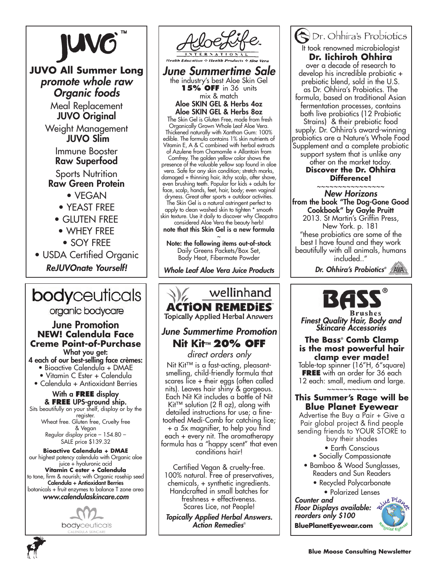

**JUVO All Summer Long** *promote whole raw Organic foods*

> Meal Replacement JUVO Original

Weight Management JUVO Slim

> Immune Booster Raw Superfood **Sports Nutrition**

Raw Green Protein

• VEGAN

- YEAST FREE
- GLUTEN FREE
- WHEY FREE
	- SOY FREE
- USDA Certified Organic *ReJUVOnate Yourself!*

## **body**ceuticals

organic bodycare

### June Promotion **NEW! Calendula Face Creme Point-of-Purchase**  What you get:

4 each of our best-selling face crèmes:

• Bioactive Calendula + DMAE

• Vitamin C Ester + Calendula

### • Calendula + Antioxidant Berries

With a **FREE** display & **FREE** UPS-ground ship.

Sits beautifully on your shelf, display or by the register. Wheat free. Gluten free, Cruelty free & Vegan

Regular display price – 154.80 – SALE price \$139.32

**Bioactive Calendula + DMAE** our highest potency calendula with Organic aloe juice + hyaluronic acid **Vitamin C ester + Calendula**  to tone, firm & nourish; with Organic rosehip seed Calendula + Antioxidant Berries botanicals + fruit enzymes to balance T zone area *www.calendulaskincare.com*



*June Summertime Sale* the industry's best Aloe Skin Gel **15% OFF** in 36 units mix & match Aloe SKIN GEL & Herbs 4oz Aloe SKIN GEL & Herbs 8oz The Skin Gel is Gluten Free, made from fresh Organically Grown Whole Leaf Aloe Vera. Thickened naturally with Xanthan Gum: 100% edible. The formula contains 1% skin nutrients of Vitamin E, A & C combined with herbal extracts of Azulene from Chamomile + Allantoin from Comfrey. The golden yellow color shows the presence of the valuable yellow sap found in aloe vera. Safe for any skin condition; stretch marks, damaged + thinning hair, itchy scalp, after shave, even brushing teeth. Popular for kids + adults for face, scalp, hands, feet, hair, body; even vaginal dryness. Great after sports + outdoor activities. The Skin Gel is a natural astringent perfect to apply to clean washed skin to tighten \* smooth skin texture. Use it daily to discover why Cleopatra considered Aloe Vera the beauty herb! note that this Skin Gel is a new formula

~ Note: the following items out-of-stock Daily Greens Packets/Box Set, Body Heat, Fibermate Powder

*Whole Leaf Aloe Vera Juice Products*

### wellinhand **ACTION REMEDIES**

# **Nit Kit™ 20% OFF**

*direct orders only* Nit Kit™ is a fast-acting, pleasantsmelling, child-friendly formula that scares lice + their eggs (often called nits). Leaves hair shiny & gorgeous. Each Nit Kit includes a bottle of Nit Kit™ solution (2 fl oz), along with detailed instructions for use; a finetoothed Medi-Comb for catching lice; + a 5x magnifier, to help you find each + every nit. The aromatherapy formula has a "happy scent" that even conditions hair!

Certified Vegan & cruelty-free. 100% natural. Free of preservatives, chemicals, + synthetic ingredients. Handcrafted in small batches for freshness + effectiveness. Scares Lice, not People!

*Topically Applied Herbal Answers. Action Remedies*®

Dr. Ohhira's Probiotics It took renowned microbiologist **Dr. Iichiroh Ohhira**  over a decade of research to develop his incredible probiotic + prebiotic blend, sold in the U.S. as Dr. Ohhira's Probiotics. The formula, based on traditional Asian fermentation processes, contains both live probiotics (12 Probiotic Strains) & their prebiotic food supply. Dr. Ohhira's award-winning probiotics are a Nature's Whole Food Supplement and a complete probiotic support system that is unlike any other on the market today. **Discover the Dr. Ohhira** 

**Difference!**

~~~~~~~~~~~~~~~~ *New Horizons* from the book "The Dog-Gone Good Cookbook" by Gayle Pruitt 2013. St Martin's Griffin Press, New York. p. 181 "these probiotics are some of the best I have found and they work beautifully with all animals, humans included.."

*Dr. Ohhira's Probiotics®*



*Finest Quality Hair, Body and Skincare Accessories June Summertime Promotion*

**The Bass® Comb Clamp is the most powerful hair clamp ever made!**

Table-top spinner (16"H, 6"square) **FREE** with an order for 36 each 12 each: small, medium and large. ~~~~~~~~~~~~

### **This Summer's Rage will be Blue Planet Eyewear**

Advertise the Buy a Pair + Give a Pair global project & find people sending friends to YOUR STORE to

buy their shades

- Earth Conscious
- Socially Compassionate
- Bamboo & Wood Sunglasses, Readers and Sun Readers
	- Recycled Polycarbonate • Polarized Lenses

*Counter and Floor Displays available: reorders only \$100* **BluePlanetEyewear.com**



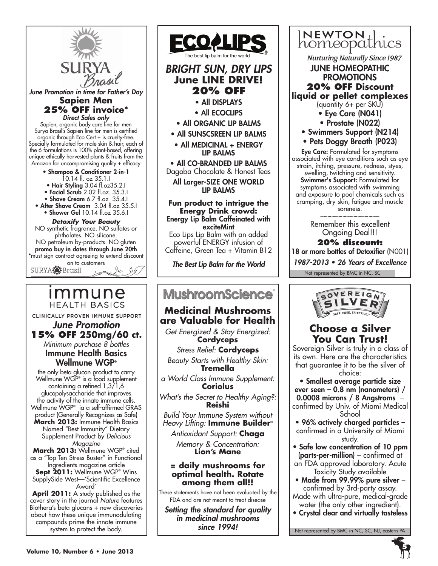

**April 2011:** A study published as the cover story in the journal *Nature* features Biothera's beta glucans + new discoveries about how these unique immunodulating compounds prime the innate immune system to protect the body.

**Volume 10, Number 6 • June 2013**



### **Medicinal Mushrooms are Valuable for Health**

*Get Energized & Stay Energized:* **Cordyceps**

*Stress Relief:* **Cordyceps** *Beauty Starts with Healthy Skin:* **Tremella** 

*a World Class Immune Supplement:* **Coriolus**

*What's the Secret to Healthy Aging?:* **Reishi**

*Build Your Immune System without Heavy Lifting:* **Immune Builder®**

*Antioxidant Support:* **Chaga** *Memory & Concentration:*

**Lion's Mane**

### **= daily mushrooms for optimal health. Rotate among them all!!**

These statements have not been evaluated by the FDA and are not meant to treat disease

*Setting the standard for quality in medicinal mushrooms since 1994!*



choice:

• Smallest average particle size ever seen – 0.8 nm (nanometers) / 0.0008 microns / 8 Angstroms – confirmed by Univ. of Miami Medical School

- 96% actively charged particles confirmed in a University of Miami study.
- Safe low concentration of 10 ppm (parts-per-million) – confirmed at an FDA approved laboratory. Acute Toxicity Study available
- Made from 99.99% pure silver confirmed by 3rd-party assay. Made with ultra-pure, medical-grade water (the only other ingredient).
- Crystal clear and virtually tasteless



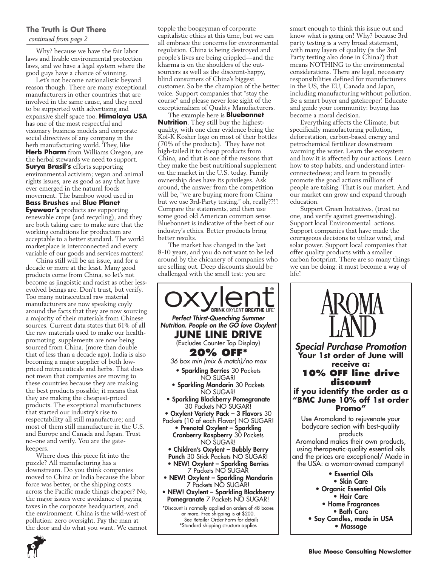### **The Truth is Out There**

*continued from page 2*

Why? because we have the fair labor laws and livable environmental protection laws, and we have a legal system where the good guys have a chance of winning.

Let's not become nationalistic beyond reason though. There are many exceptional manufacturers in other countries that are involved in the same cause, and they need to be supported with advertising and expansive shelf space too. **Himalaya USA** has one of the most respectful and visionary business models and corporate social directives of any company in the herb manufacturing world. They, like **Herb Pharm** from Williams Oregon, are the herbal stewards we need to support. **Surya Brasil's** efforts supporting environmental activism; vegan and animal rights issues, are as good as any that have ever emerged in the natural foods movement. The bamboo wood used in **Bass Brushes** and **Blue Planet Eyewear's** products are supporting renewable crops (and recycling), and they are both taking care to make sure that the working conditions for production are acceptable to a better standard. The world marketplace is interconnected and every variable of our goods and services matters!

China still will be an issue, and for a decade or more at the least. Many good products come from China, so let's not become as jingoistic and racist as other lessevolved beings are. Don't trust, but verify. Too many nutraceutical raw material manufacturers are now speaking coyly around the facts that they are now sourcing a majority of their materials from Chinese sources. Current data states that 61% of all the raw materials used to make our healthpromoting supplements are now being sourced from China. (more than double that of less than a decade ago). India is also becoming a major supplier of both lowpriced nutraceuticals and herbs. That does not mean that companies are moving to these countries because they are making the best products possible; it means that they are making the cheapest-priced products. The exceptional manufacturers that started our industry's rise to respectability all still manufacture; and most of them still manufacture in the U.S. and Europe and Canada and Japan. Trust no-one and verify. You are the gatekeepers.

Where does this piece fit into the puzzle? All manufacturing has a downstream. Do you think companies moved to China or India because the labor force was better, or the shipping costs across the Pacific made things cheaper? No, the major issues were avoidance of paying taxes in the corporate headquarters, and the environment. China is the wild-west of pollution: zero oversight. Pay the man at the door and do what you want. We cannot topple the boogeyman of corporate capitalistic ethics at this time, but we can all embrace the concerns for environmental regulation. China is being destroyed and people's lives are being crippled—and the kharma is on the shoulders of the outsourcers as well as the discount-happy, blind consumers of China's biggest customer. So be the champion of the better voice. Support companies that "stay the course" and please never lose sight of the exceptionalism of Quality Manufacturers.

The example here is **Bluebonnet Nutrition**. They still buy the highestquality, with one clear evidence being the Kof-K Kosher logo on most of their bottles (70% of the products). They have not high-tailed it to cheap products from China, and that is one of the reasons that they make the best nutritional supplement on the market in the U.S. today. Family ownership does have its privileges. Ask around, the answer from the competition will be, "we are buying more from China but we use 3rd-Party testing." oh, really??!! Compare the statements, and then use some good old American common sense. Bluebonnet is indicative of the best of our industry's ethics. Better products bring better results.

The market has changed in the last 8-10 years, and you do not want to be led around by the chicanery of companies who are selling out. Deep discounts should be challenged with the smell test: you are



smart enough to think this issue out and know what is going on! Why? because 3rd party testing is a very broad statement, with many layers of quality (is the 3rd Party testing also done in China?) that means NOTHING to the environmental considerations. There are legal, necessary responsibilities defined for manufacturers in the US, the EU, Canada and Japan, including manufacturing without pollution. Be a smart buyer and gatekeeper! Educate and guide your community: buying has become a moral decision.

Everything affects the Climate, but specifically manufacturing pollution, deforestation, carbon-based energy and petrochemical fertilizer downstream warming the water. Learn the ecosystem and how it is affected by our actions. Learn how to stop habits, and understand interconnectedness; and learn to proudly promote the good actions millions of people are taking. That is our market. And our market can grow and expand through education.

Support Green Initiatives, (trust no one, and verify against greenwashing). Support local Environmental actions. Support companies that have made the courageous decisions to utilize wind, and solar power. Support local companies that offer quality products with a smaller carbon footprint. There are so many things we can be doing: it must become a way of life!



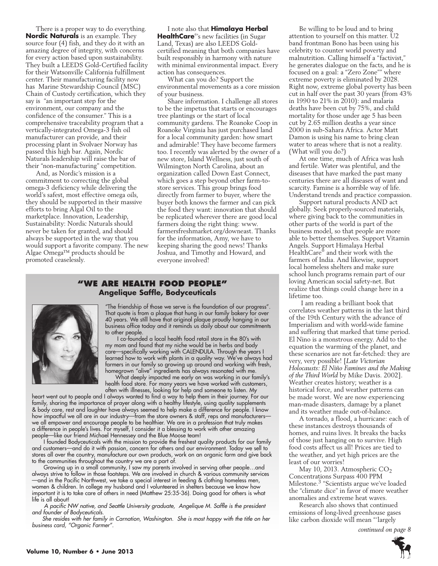There is a proper way to do everything. **Nordic Naturals** is an example. They source four (4) fish, and they do it with an amazing degree of integrity, with concerns for every action based upon sustainability. They built a LEEDS Gold-Certified facility for their Watsonville California fulfillment center. Their manufacturing facility now has Marine Stewardship Council (MSC) Chain of Custody certification, which they say is "an important step for the environment, our company and the confidence of the consumer." This is a comprehensive traceability program that a vertically-integrated Omega-3 fish oil manufacturer can provide, and their processing plant in Svolvaer Norway has passed this high bar. Again, Nordic Naturals leadership will raise the bar of their "non-manufacturing" competition.

And, as Nordic's mission is a commitment to correcting the global omega-3 deficiency while delivering the world's safest, most effective omega oils, they should be supported in their massive efforts to bring Algal Oil to the marketplace. Innovation, Leadership, Sustainability: Nordic Naturals should never be taken for granted, and should always be supported in the way that you would support a favorite company. The new Algae Omega™ products should be promoted ceaselessly.

I note also that **Himalaya Herbal HealthCare**® 's new facilities (in Sugar Land, Texas) are also LEEDS Goldcertified meaning that both companies have built responsibly in harmony with nature with minimal environmental impact. Every action has consequences.

What can you do? Support the environmental movements as a core mission of your business.

Share information. I challenge all stores to be the impetus that starts or encourages tree plantings or the start of local community gardens. The Roanoke Coop in Roanoke Virginia has just purchased land for a local community garden: how smart and admirable! They have become farmers too. I recently was alerted by the owner of a new store, Island Wellness, just south of Wilmington North Carolina, about an organization called Down East Connect, which goes a step beyond other farm-tostore services. This group brings food directly from farmer to buyer, where the buyer both knows the farmer and can pick the food they want: innovation that should be replicated wherever there are good local farmers doing the right thing: www. farmersfreshmarket.org/downeast. Thanks for the information, Amy, we have to keeping sharing the good news! Thanks Joshua, and Timothy and Howard, and everyone involved!

### **"We Are health food people" Angelique Saffle, Bodyceuticals**



"The friendship of those we serve is the foundation of our progress". That quote is from a plaque that hung in our family bakery for over 40 years. We still have that original plaque proudly hanging in our business office today and it reminds us daily about our commitments to other people.

 I co-founded a local health food retail store in the 80's with my mom and found that my niche would be in herbs and body care—specifically working with CALENDULA. Through the years I learned how to work with plants in a quality way. We've always had farmers in our family so growing up around and working with fresh, homegrown "alive" ingredients has always resonated with me.

What deeply impacted me early on was working in our family's health food store. For many years we have worked with customers,

often with illnesses, looking for help and someone to listen. My heart went out to people and I always wanted to find a way to help them in their journey. For our family, sharing the importance of prayer along with a healthy lifestyle, using quality supplements & body care, rest and laughter have always seemed to help make a difference for people. I know how impactful we all are in our industry—from the store owners & staff, reps and manufacturers we all empower and encourage people to be healthier. We are in a profession that truly makes a difference in people's lives. For myself, I consider it a blessing to work with other amazing people—like our friend Michael Hennessey and the Blue Moose team!

I founded Bodyceuticals with the mission to provide the freshest quality products for our family and customers—and do it with passion, concern for others and our environment. Today we sell to stores all over the country, manufacture our own products, work on an organic farm and give back to the communities throughout the country we are a part of.

Growing up in a small community, I saw my parents involved in serving other people…and always strive to follow in those footsteps. We are involved in church & various community services —and in the Pacific Northwest, we take a special interest in feeding & clothing homeless men, women & children. In college my husband and I volunteered in shelters because we know how important it is to take care of others in need (Matthew 25:35-36). Doing good for others is what life is all about!

 *A pacific NW native, and Seattle University graduate, Angelique M. Saffle is the president and founder of Bodyceuticals.*

*She resides with her family in Carnation, Washington. She is most happy with the title on her business card, "Organic Farmer". continued on page 8*

Be willing to be loud and to bring attention to yourself on this matter. U2 band frontman Bono has been using his celebrity to counter world poverty and malnutrition. Calling himself a "factivist," he generates dialogue on the facts, and he is focused on a goal: a "Zero Zone"" where extreme poverty is eliminated by 2028. Right now, extreme global poverty has been cut in half over the past 30 years (from 43% in 1990 to 21% in 2010): and malaria deaths have been cut by 75%, and child mortality for those under age 5 has been cut by 2.65 million deaths a year since 2000 in sub-Sahara Africa. Actor Matt Damon is using his name to bring clean water to areas where that is not a reality. (What will you do?)

At one time, much of Africa was lush and fertile. Water was plentiful, and the diseases that have marked the past many centuries there are all diseases of want and scarcity. Famine is a horrible way of life. Understand trends and practice compassion.

Support natural products AND act globally. Seek properly-sourced materials, where giving back to the communities in other parts of the world is part of the business model, so that people are more able to better themselves. Support Vitamin Angels. Support Himalaya Herbal HealthCare® and their work with the farmers of India. And likewise, support local homeless shelters and make sure school lunch programs remain part of our loving American social safety-net. But realize that things could change here in a lifetime too.

 I am reading a brilliant book that correlates weather patterns in the last third of the 19th Century with the advance of Imperialism and with world-wide famine and suffering that marked that time period. El Nino is a monstrous energy. Add to the equation the warming of the planet, and these scenarios are not far-fetched: they are very, very possible! [*Late Victorian Holocausts: El Niño Famines and the Making of the Third World* by Mike Davis. 2002]. Weather creates history; weather is a historical force, and weather patterns can be made worst. We are now experiencing man-made disasters, damage by a planet and its weather made out-of-balance.

A tornado, a flood, a hurricane: each of these instances destroys thousands of homes, and ruins lives. It breaks the backs of those just hanging on to survive. High food costs affect us all! Prices are tied to the weather, and yet high prices are the least of our worries!

May 10, 2013. Atmospheric  $CO<sub>2</sub>$ Concentrations Surpass 400 PPM Milestone.3 "Scientists argue we've loaded the "climate dice" in favor of more weather anomalies and extreme heat waves.

Research also shows that continued emissions of long-lived greenhouse gases like carbon dioxide will mean "'largely